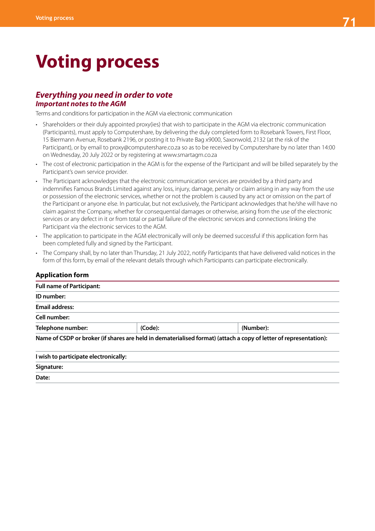# **Voting process**

### *Everything you need in order to vote Important notes to the AGM*

Terms and conditions for participation in the AGM via electronic communication

- Shareholders or their duly appointed proxy(ies) that wish to participate in the AGM via electronic communication (Participants), must apply to Computershare, by delivering the duly completed form to Rosebank Towers, First Floor, 15 Biermann Avenue, Rosebank 2196, or posting it to Private Bag x9000, Saxonwold, 2132 (at the risk of the Participant), or by email to proxy@computershare.co.za so as to be received by Computershare by no later than 14:00 on Wednesday, 20 July 2022 or by registering at www.smartagm.co.za
- The cost of electronic participation in the AGM is for the expense of the Participant and will be billed separately by the Participant's own service provider.
- The Participant acknowledges that the electronic communication services are provided by a third party and indemnifies Famous Brands Limited against any loss, injury, damage, penalty or claim arising in any way from the use or possession of the electronic services, whether or not the problem is caused by any act or omission on the part of the Participant or anyone else. In particular, but not exclusively, the Participant acknowledges that he/she will have no claim against the Company, whether for consequential damages or otherwise, arising from the use of the electronic services or any defect in it or from total or partial failure of the electronic services and connections linking the Participant via the electronic services to the AGM.
- The application to participate in the AGM electronically will only be deemed successful if this application form has been completed fully and signed by the Participant.
- The Company shall, by no later than Thursday, 21 July 2022, notify Participants that have delivered valid notices in the form of this form, by email of the relevant details through which Participants can participate electronically.

#### **Application form**

| <b>Full name of Participant:</b>      |         |                                                                                                                   |  |
|---------------------------------------|---------|-------------------------------------------------------------------------------------------------------------------|--|
| ID number:                            |         |                                                                                                                   |  |
| <b>Email address:</b>                 |         |                                                                                                                   |  |
| Cell number:                          |         |                                                                                                                   |  |
| Telephone number:                     | (Code): | (Number):                                                                                                         |  |
|                                       |         | Name of CSDP or broker (if shares are held in dematerialised format) (attach a copy of letter of representation): |  |
| I wish to participate electronically: |         |                                                                                                                   |  |
| Signature:                            |         |                                                                                                                   |  |
| Date:                                 |         |                                                                                                                   |  |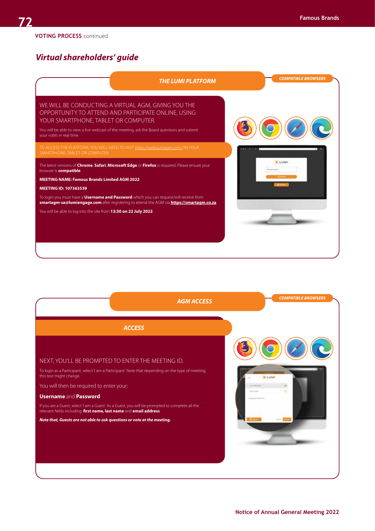## *Virtual shareholders' guide*



|                                                                                                                                                                        | <b>AGM ACCESS</b> | <b>COMPATIBLE BROWSERS</b> |
|------------------------------------------------------------------------------------------------------------------------------------------------------------------------|-------------------|----------------------------|
| <b>ACCESS</b>                                                                                                                                                          |                   |                            |
|                                                                                                                                                                        |                   |                            |
| NEXT, YOU'LL BE PROMPTED TO ENTER THE MEETING ID.                                                                                                                      |                   |                            |
| To login as a Participant, select 'I am a Participant'. Note that depending on the type of meeting,<br>this text might change.                                         |                   | <b>X</b> LUMI              |
| You will then be required to enter your:                                                                                                                               |                   |                            |
| <b>Username and Password</b>                                                                                                                                           |                   |                            |
| If you are a Guest, select 'I am a Guest'. As a Guest, you will be prompted to complete all the<br>relevant fields including; first name, last name and email address. |                   |                            |
| Note that, Guests are not able to ask questions or vote at the meeting.                                                                                                |                   |                            |
|                                                                                                                                                                        |                   |                            |
|                                                                                                                                                                        |                   |                            |
|                                                                                                                                                                        |                   |                            |
|                                                                                                                                                                        |                   |                            |
|                                                                                                                                                                        |                   |                            |
|                                                                                                                                                                        |                   |                            |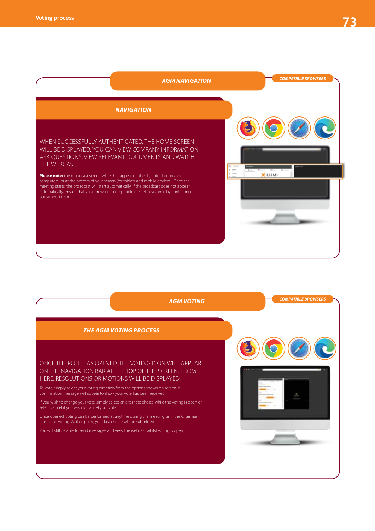

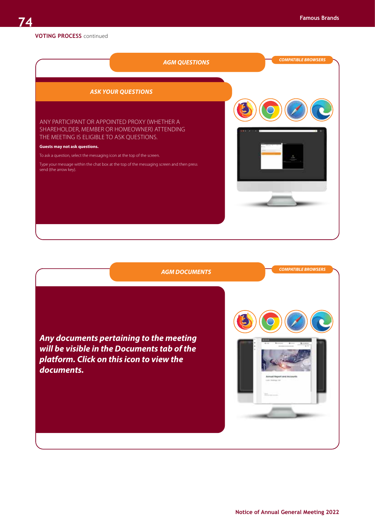#### **VOTING PROCESS** continued



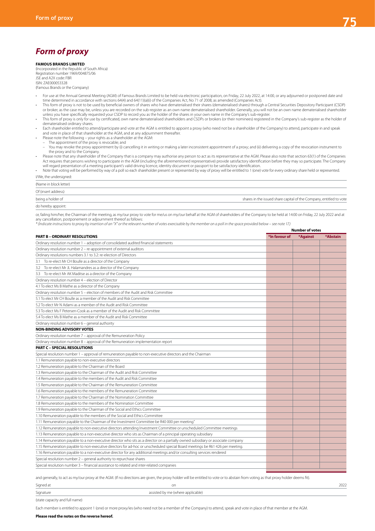**Number of votes**

# *Form of proxy*

#### **FAMOUS BRANDS LIMITED**

(Incorporated in the Republic of South Africa) Registration number 1969/004875/06 JSE and A2X code: FBR ISIN: ZAE000053328

(Famous Brands or the Company)

- For use at the Annual General Meeting (AGM) of Famous Brands Limited to be held via electronic participation, on Friday, 22 July 2022, at 14:00, or any adjourned or postponed date and time determined in accordance with sections 64(4) and 64(11)(a)(i) of the Companies Act, No 71 of 2008, as amended (Companies Act).<br>This form of proxy is not to be used by beneficial owners of shares who have dematerialise
- or broker, as the case may be, unless you are recorded on the sub-register as an own name dematerialised shareholder. Generally, you will not be an own name dematerialised shareholder
- unless you have specifically requested your CSDP to record you as the holder of the shares in your own name in the Company's sub-register.<br>This form of proxy is only for use by certificated, own name dematerialised shareho dematerialised ordinary shares.
- Each shareholder entitled to attend/participate and vote at the AGM is entitled to appoint a proxy (who need not be a shareholder of the Company) to attend, participate in and speak<br>• and vote in place of that sharehold
- 
- 
- The appointment of the proxy is revocable; and<br>– You may revoke the proxy appointment by (i) cancelling it in writing or making a later inconsistent appointment of a proxy; and (ii) delivering a copy of the revocation in the proxy and to the Company.
- Please note that any shareholder of the Company that is a company may authorise any person to act as its representative at the AGM. Please also note that section 63(1) of the Companies<br>Act requires that persons wishing to
- will regard presentation of a meeting participant's valid driving licence, identity document or passport to be satisfactory identification.<br>Note that voting will be performed by way of a poll so each shareholder present or I/We, the undersigned:

| (Name in block letter) |                                                                     |
|------------------------|---------------------------------------------------------------------|
| Of (insert address)    |                                                                     |
| being a holder of      | shares in the issued share capital of the Company, entitled to vote |
| do hereby appoint:     |                                                                     |

or, failing him/her, the Chairman of the meeting, as my/our proxy to vote for me/us on my/our behalf at the AGM of shareholders of the Company to be held at 14:00 on Friday, 22 July 2022 and at any cancellation, postponement or adjournment thereof as follows:

*\* (Indicate instructions to proxy by insertion of an "X" or the relevant number of votes exercisable by the member on a poll in the space provided below – see note 17.)*

|                                                                                                                                   |               | נאטוווטכו טו זטענ |          |  |
|-----------------------------------------------------------------------------------------------------------------------------------|---------------|-------------------|----------|--|
| <b>PART B - ORDINARY RESOLUTIONS</b>                                                                                              | *In favour of | *Against          | *Abstain |  |
| Ordinary resolution number 1 - adoption of consolidated audited financial statements                                              |               |                   |          |  |
| Ordinary resolution number 2 - re-appointment of external auditors                                                                |               |                   |          |  |
| Ordinary resolutions numbers 3.1 to 3.2: re-election of Directors                                                                 |               |                   |          |  |
| 3.1 To re-elect Mr CH Boulle as a director of the Company                                                                         |               |                   |          |  |
| 3.2 To re-elect Mr JL Halamandres as a director of the Company                                                                    |               |                   |          |  |
| 3.3 To re-elect Mr AK Maditse as a director of the Company                                                                        |               |                   |          |  |
| Ordinary resolution number 4 - election of Director                                                                               |               |                   |          |  |
| 4.1 To elect Ms B Mathe as a director of the Company                                                                              |               |                   |          |  |
| Ordinary resolution number 5 - election of members of the Audit and Risk Committee                                                |               |                   |          |  |
| 5.1 To elect Mr CH Boulle as a member of the Audit and Risk Committee                                                             |               |                   |          |  |
| 5.2 To elect Mr N Adami as a member of the Audit and Risk Committee                                                               |               |                   |          |  |
| 5.3 To elect Ms F Petersen-Cook as a member of the Audit and Risk Committee                                                       |               |                   |          |  |
| 5.4 To elect Ms B Mathe as a member of the Audit and Risk Committee                                                               |               |                   |          |  |
| Ordinary resolution number 6 - general authority                                                                                  |               |                   |          |  |
| <b>NON-BINDING ADVISORY VOTES</b>                                                                                                 |               |                   |          |  |
| Ordinary resolution number 7 - approval of the Remuneration Policy                                                                |               |                   |          |  |
| Ordinary resolution number 8 - approval of the Remuneration implementation report                                                 |               |                   |          |  |
| <b>PART C - SPECIAL RESOLUTIONS</b>                                                                                               |               |                   |          |  |
| Special resolution number 1 - approval of remuneration payable to non-executive directors and the Chairman                        |               |                   |          |  |
| 1.1 Remuneration payable to non-executive directors                                                                               |               |                   |          |  |
| 1.2 Remuneration payable to the Chairman of the Board                                                                             |               |                   |          |  |
| 1.3 Remuneration payable to the Chairman of the Audit and Risk Committee                                                          |               |                   |          |  |
| 1.4 Remuneration payable to the members of the Audit and Risk Committee                                                           |               |                   |          |  |
| 1.5 Remuneration payable to the Chairman of the Remuneration Committee                                                            |               |                   |          |  |
| 1.6 Remuneration payable to the members of the Remuneration Committee                                                             |               |                   |          |  |
| 1.7 Remuneration payable to the Chairman of the Nomination Committee                                                              |               |                   |          |  |
| 1.8 Remuneration payable to the members of the Nomination Committee                                                               |               |                   |          |  |
| 1.9 Remuneration payable to the Chairman of the Social and Ethics Committee                                                       |               |                   |          |  |
| 1.10 Remuneration payable to the members of the Social and Ethics Committee                                                       |               |                   |          |  |
| 1.11 Remuneration payable to the Chairman of the Investment Committee be R40 000 per meeting."                                    |               |                   |          |  |
| 1.12 Remuneration payable to non-executive directors attending Investment Committee or unscheduled Committee meetings             |               |                   |          |  |
| 1.13 Remuneration payable to a non-executive director who sits as Chairman of a principal operating subsidiary                    |               |                   |          |  |
| 1.14 Remuneration payable to a non-executive director who sits as a director on a partially owned subsidiary or associate company |               |                   |          |  |
| 1.15 Remuneration payable to non-executive directors for ad-hoc or unscheduled special Board meetings be R61 426 per meeting.     |               |                   |          |  |
| 1.16 Remuneration payable to a non-executive director for any additional meetings and/or consulting services rendered             |               |                   |          |  |
| Special resolution number 2 - general authority to repurchase shares                                                              |               |                   |          |  |
| Special resolution number 3 - financial assistance to related and inter-related companies                                         |               |                   |          |  |
|                                                                                                                                   |               |                   |          |  |

and generally, to act as my/our proxy at the AGM. (If no directions are given, the proxy holder will be entitled to vote or to abstain from voting as that proxy holder deems fit).

| Signature | sisted by me (where applicable).      |                              |
|-----------|---------------------------------------|------------------------------|
| Signed at | or<br>the contract of the contract of | $\sim$ $\sim$ $\sim$<br>ZUZZ |

(state capacity and full name)

Each member is entitled to appoint 1 (one) or more proxy/ies (who need not be a member of the Company) to attend, speak and vote in place of that member at the AGM.

#### **Please read the notes on the reverse hereof.**